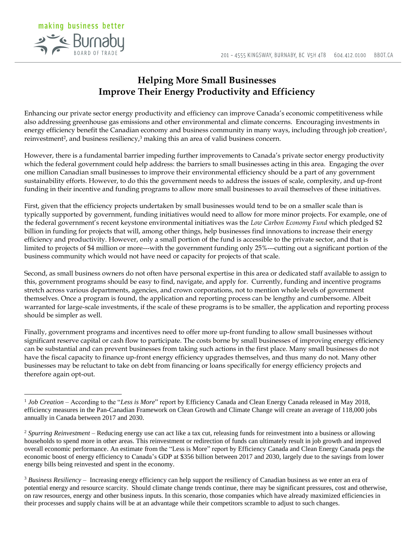

 $\overline{a}$ 

## **Helping More Small Businesses Improve Their Energy Productivity and Efficiency**

Enhancing our private sector energy productivity and efficiency can improve Canada's economic competitiveness while also addressing greenhouse gas emissions and other environmental and climate concerns. Encouraging investments in energy efficiency benefit the Canadian economy and business community in many ways, including through job creation<sup>1</sup>, reinvestment<sup>2</sup>, and business resiliency,<sup>3</sup> making this an area of valid business concern.

However, there is a fundamental barrier impeding further improvements to Canada's private sector energy productivity which the federal government could help address: the barriers to small businesses acting in this area. Engaging the over one million Canadian small businesses to improve their environmental efficiency should be a part of any government sustainability efforts. However, to do this the government needs to address the issues of scale, complexity, and up-front funding in their incentive and funding programs to allow more small businesses to avail themselves of these initiatives.

First, given that the efficiency projects undertaken by small businesses would tend to be on a smaller scale than is typically supported by government, funding initiatives would need to allow for more minor projects. For example, one of the federal government's recent keystone environmental initiatives was the *Low Carbon Economy Fund* which pledged \$2 billion in funding for projects that will, among other things, help businesses find innovations to increase their energy efficiency and productivity. However, only a small portion of the fund is accessible to the private sector, and that is limited to projects of \$4 million or more---with the government funding only 25%---cutting out a significant portion of the business community which would not have need or capacity for projects of that scale.

Second, as small business owners do not often have personal expertise in this area or dedicated staff available to assign to this, government programs should be easy to find, navigate, and apply for. Currently, funding and incentive programs stretch across various departments, agencies, and crown corporations, not to mention whole levels of government themselves. Once a program is found, the application and reporting process can be lengthy and cumbersome. Albeit warranted for large-scale investments, if the scale of these programs is to be smaller, the application and reporting process should be simpler as well.

Finally, government programs and incentives need to offer more up-front funding to allow small businesses without significant reserve capital or cash flow to participate. The costs borne by small businesses of improving energy efficiency can be substantial and can prevent businesses from taking such actions in the first place. Many small businesses do not have the fiscal capacity to finance up-front energy efficiency upgrades themselves, and thus many do not. Many other businesses may be reluctant to take on debt from financing or loans specifically for energy efficiency projects and therefore again opt-out.

<sup>&</sup>lt;sup>1</sup> *Job Creation* – According to the "Less is More" report by Efficiency Canada and Clean Energy Canada released in May 2018, efficiency measures in the Pan-Canadian Framework on Clean Growth and Climate Change will create an average of 118,000 jobs annually in Canada between 2017 and 2030.

<sup>2</sup> *Spurring Reinvestment* – Reducing energy use can act like a tax cut, releasing funds for reinvestment into a business or allowing households to spend more in other areas. This reinvestment or redirection of funds can ultimately result in job growth and improved overall economic performance. An estimate from the "Less is More" report by Efficiency Canada and Clean Energy Canada pegs the economic boost of energy efficiency to Canada's GDP at \$356 billion between 2017 and 2030, largely due to the savings from lower energy bills being reinvested and spent in the economy.

<sup>3</sup> *Business Resiliency* – Increasing energy efficiency can help support the resiliency of Canadian business as we enter an era of potential energy and resource scarcity. Should climate change trends continue, there may be significant pressures, cost and otherwise, on raw resources, energy and other business inputs. In this scenario, those companies which have already maximized efficiencies in their processes and supply chains will be at an advantage while their competitors scramble to adjust to such changes.